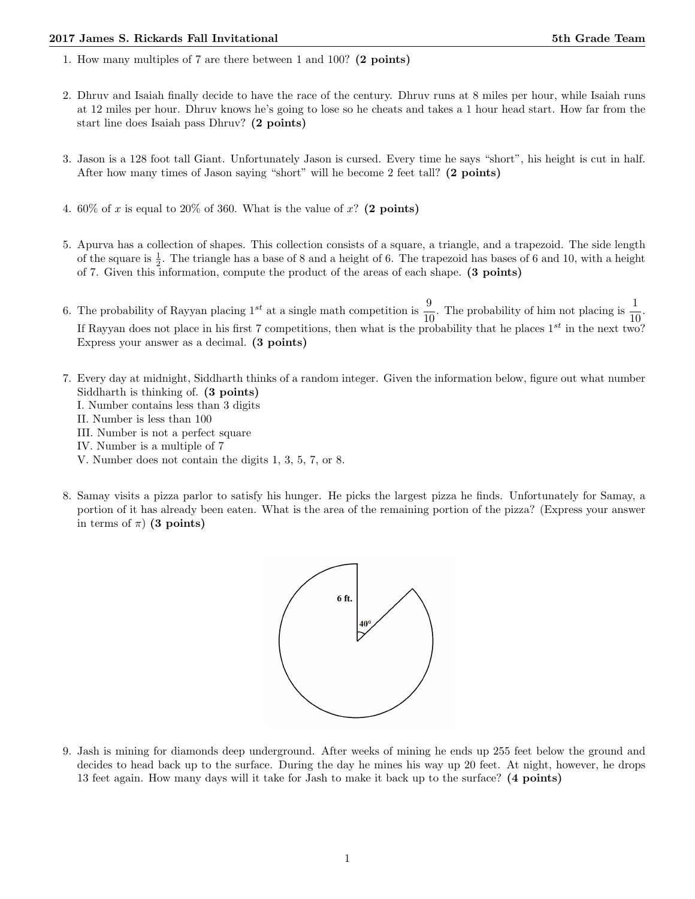- 1. How many multiples of 7 are there between 1 and 100? (2 points)
- 2. Dhruv and Isaiah finally decide to have the race of the century. Dhruv runs at 8 miles per hour, while Isaiah runs at 12 miles per hour. Dhruv knows he's going to lose so he cheats and takes a 1 hour head start. How far from the start line does Isaiah pass Dhruv? (2 points)
- 3. Jason is a 128 foot tall Giant. Unfortunately Jason is cursed. Every time he says "short", his height is cut in half. After how many times of Jason saying "short" will he become 2 feet tall? (2 points)
- 4. 60% of x is equal to 20% of 360. What is the value of x? (2 points)
- 5. Apurva has a collection of shapes. This collection consists of a square, a triangle, and a trapezoid. The side length of the square is  $\frac{1}{2}$ . The triangle has a base of 8 and a height of 6. The trapezoid has bases of 6 and 10, with a height of 7. Given this information, compute the product of the areas of each shape. (3 points)
- 6. The probability of Rayyan placing 1<sup>st</sup> at a single math competition is  $\frac{9}{10}$ . The probability of him not placing is  $\frac{1}{10}$ . If Rayyan does not place in his first 7 competitions, then what is the probability that he places  $1^{st}$  in the next two? Express your answer as a decimal. (3 points)
- 7. Every day at midnight, Siddharth thinks of a random integer. Given the information below, figure out what number Siddharth is thinking of. (3 points) I. Number contains less than 3 digits II. Number is less than 100 III. Number is not a perfect square IV. Number is a multiple of 7 V. Number does not contain the digits 1, 3, 5, 7, or 8.
- 8. Samay visits a pizza parlor to satisfy his hunger. He picks the largest pizza he finds. Unfortunately for Samay, a portion of it has already been eaten. What is the area of the remaining portion of the pizza? (Express your answer in terms of  $\pi$ ) (3 points)



9. Jash is mining for diamonds deep underground. After weeks of mining he ends up 255 feet below the ground and decides to head back up to the surface. During the day he mines his way up 20 feet. At night, however, he drops 13 feet again. How many days will it take for Jash to make it back up to the surface? (4 points)